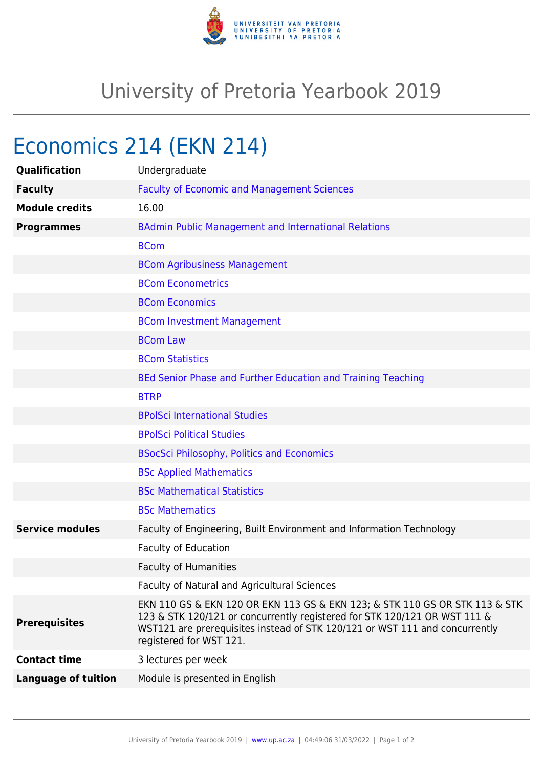

## University of Pretoria Yearbook 2019

# Economics 214 (EKN 214)

| Qualification              | Undergraduate                                                                                                                                                                                                                                                      |
|----------------------------|--------------------------------------------------------------------------------------------------------------------------------------------------------------------------------------------------------------------------------------------------------------------|
| <b>Faculty</b>             | <b>Faculty of Economic and Management Sciences</b>                                                                                                                                                                                                                 |
| <b>Module credits</b>      | 16.00                                                                                                                                                                                                                                                              |
| <b>Programmes</b>          | <b>BAdmin Public Management and International Relations</b>                                                                                                                                                                                                        |
|                            | <b>BCom</b>                                                                                                                                                                                                                                                        |
|                            | <b>BCom Agribusiness Management</b>                                                                                                                                                                                                                                |
|                            | <b>BCom Econometrics</b>                                                                                                                                                                                                                                           |
|                            | <b>BCom Economics</b>                                                                                                                                                                                                                                              |
|                            | <b>BCom Investment Management</b>                                                                                                                                                                                                                                  |
|                            | <b>BCom Law</b>                                                                                                                                                                                                                                                    |
|                            | <b>BCom Statistics</b>                                                                                                                                                                                                                                             |
|                            | BEd Senior Phase and Further Education and Training Teaching                                                                                                                                                                                                       |
|                            | <b>BTRP</b>                                                                                                                                                                                                                                                        |
|                            | <b>BPolSci International Studies</b>                                                                                                                                                                                                                               |
|                            | <b>BPolSci Political Studies</b>                                                                                                                                                                                                                                   |
|                            | <b>BSocSci Philosophy, Politics and Economics</b>                                                                                                                                                                                                                  |
|                            | <b>BSc Applied Mathematics</b>                                                                                                                                                                                                                                     |
|                            | <b>BSc Mathematical Statistics</b>                                                                                                                                                                                                                                 |
|                            | <b>BSc Mathematics</b>                                                                                                                                                                                                                                             |
| <b>Service modules</b>     | Faculty of Engineering, Built Environment and Information Technology                                                                                                                                                                                               |
|                            | <b>Faculty of Education</b>                                                                                                                                                                                                                                        |
|                            | <b>Faculty of Humanities</b>                                                                                                                                                                                                                                       |
|                            | Faculty of Natural and Agricultural Sciences                                                                                                                                                                                                                       |
| <b>Prerequisites</b>       | EKN 110 GS & EKN 120 OR EKN 113 GS & EKN 123; & STK 110 GS OR STK 113 & STK<br>123 & STK 120/121 or concurrently registered for STK 120/121 OR WST 111 &<br>WST121 are prerequisites instead of STK 120/121 or WST 111 and concurrently<br>registered for WST 121. |
| <b>Contact time</b>        | 3 lectures per week                                                                                                                                                                                                                                                |
| <b>Language of tuition</b> | Module is presented in English                                                                                                                                                                                                                                     |
|                            |                                                                                                                                                                                                                                                                    |